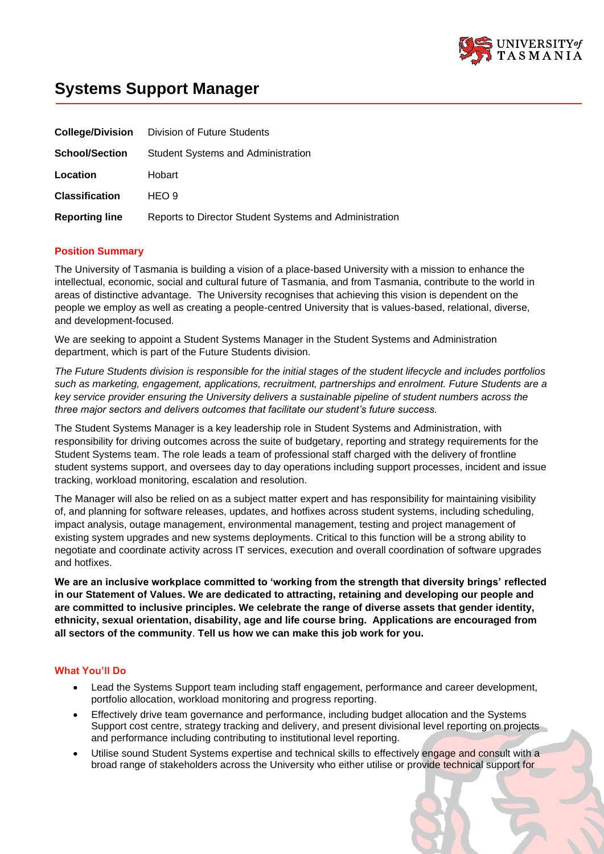

# **Systems Support Manager**

|                       | <b>College/Division</b> Division of Future Students    |
|-----------------------|--------------------------------------------------------|
| <b>School/Section</b> | <b>Student Systems and Administration</b>              |
| Location              | Hobart                                                 |
| <b>Classification</b> | HEO 9                                                  |
| <b>Reporting line</b> | Reports to Director Student Systems and Administration |

# **Position Summary**

The University of Tasmania is building a vision of a place-based University with a mission to enhance the intellectual, economic, social and cultural future of Tasmania, and from Tasmania, contribute to the world in areas of distinctive advantage. The University recognises that achieving this vision is dependent on the people we employ as well as creating a people-centred University that is values-based, relational, diverse, and development-focused.

We are seeking to appoint a Student Systems Manager in the Student Systems and Administration department, which is part of the Future Students division.

*The Future Students division is responsible for the initial stages of the student lifecycle and includes portfolios such as marketing, engagement, applications, recruitment, partnerships and enrolment. Future Students are a key service provider ensuring the University delivers a sustainable pipeline of student numbers across the three major sectors and delivers outcomes that facilitate our student's future success.*

The Student Systems Manager is a key leadership role in Student Systems and Administration, with responsibility for driving outcomes across the suite of budgetary, reporting and strategy requirements for the Student Systems team. The role leads a team of professional staff charged with the delivery of frontline student systems support, and oversees day to day operations including support processes, incident and issue tracking, workload monitoring, escalation and resolution.

The Manager will also be relied on as a subject matter expert and has responsibility for maintaining visibility of, and planning for software releases, updates, and hotfixes across student systems, including scheduling, impact analysis, outage management, environmental management, testing and project management of existing system upgrades and new systems deployments. Critical to this function will be a strong ability to negotiate and coordinate activity across IT services, execution and overall coordination of software upgrades and hotfixes.

**We are an inclusive workplace committed to 'working from the strength that diversity brings' reflected in our Statement of Values. We are dedicated to attracting, retaining and developing our people and are committed to inclusive principles. We celebrate the range of diverse assets that gender identity, ethnicity, sexual orientation, disability, age and life course bring. Applications are encouraged from all sectors of the community**. **Tell us how we can make this job work for you.**

# **What You'll Do**

- Lead the Systems Support team including staff engagement, performance and career development, portfolio allocation, workload monitoring and progress reporting.
- Effectively drive team governance and performance, including budget allocation and the Systems Support cost centre, strategy tracking and delivery, and present divisional level reporting on projects and performance including contributing to institutional level reporting.
- Utilise sound Student Systems expertise and technical skills to effectively engage and consult with a broad range of stakeholders across the University who either utilise or provide technical support for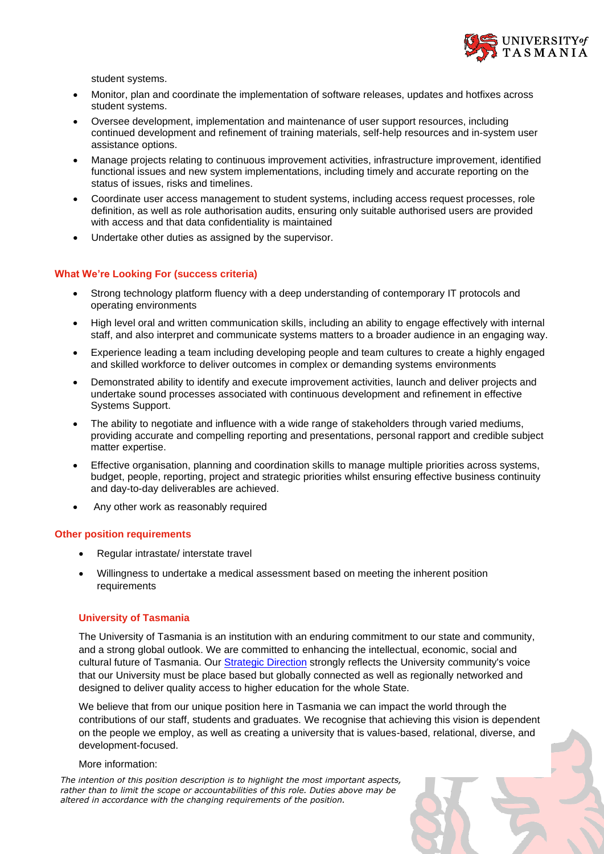

student systems.

- Monitor, plan and coordinate the implementation of software releases, updates and hotfixes across student systems.
- Oversee development, implementation and maintenance of user support resources, including continued development and refinement of training materials, self-help resources and in-system user assistance options.
- Manage projects relating to continuous improvement activities, infrastructure improvement, identified functional issues and new system implementations, including timely and accurate reporting on the status of issues, risks and timelines.
- Coordinate user access management to student systems, including access request processes, role definition, as well as role authorisation audits, ensuring only suitable authorised users are provided with access and that data confidentiality is maintained
- Undertake other duties as assigned by the supervisor.

## **What We're Looking For (success criteria)**

- Strong technology platform fluency with a deep understanding of contemporary IT protocols and operating environments
- High level oral and written communication skills, including an ability to engage effectively with internal staff, and also interpret and communicate systems matters to a broader audience in an engaging way.
- Experience leading a team including developing people and team cultures to create a highly engaged and skilled workforce to deliver outcomes in complex or demanding systems environments
- Demonstrated ability to identify and execute improvement activities, launch and deliver projects and undertake sound processes associated with continuous development and refinement in effective Systems Support.
- The ability to negotiate and influence with a wide range of stakeholders through varied mediums, providing accurate and compelling reporting and presentations, personal rapport and credible subject matter expertise.
- Effective organisation, planning and coordination skills to manage multiple priorities across systems, budget, people, reporting, project and strategic priorities whilst ensuring effective business continuity and day-to-day deliverables are achieved.
- Any other work as reasonably required

#### **Other position requirements**

- Regular intrastate/ interstate travel
- Willingness to undertake a medical assessment based on meeting the inherent position requirements

## **University of Tasmania**

The University of Tasmania is an institution with an enduring commitment to our state and community, and a strong global outlook. We are committed to enhancing the intellectual, economic, social and cultural future of Tasmania. Our [Strategic Direction](https://www.utas.edu.au/vc/strategic-direction) strongly reflects the University community's voice that our University must be place based but globally connected as well as regionally networked and designed to deliver quality access to higher education for the whole State.

We believe that from our unique position here in Tasmania we can impact the world through the contributions of our staff, students and graduates. We recognise that achieving this vision is dependent on the people we employ, as well as creating a university that is values-based, relational, diverse, and development-focused.

#### More information:

*The intention of this position description is to highlight the most important aspects, rather than to limit the scope or accountabilities of this role. Duties above may be altered in accordance with the changing requirements of the position.*